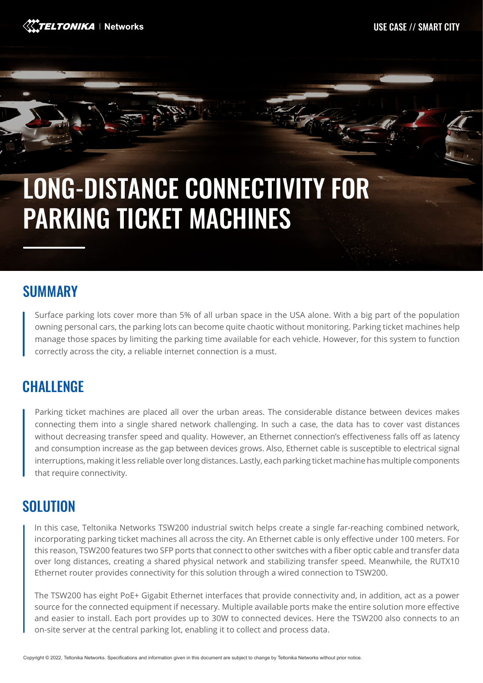

# LONG-DISTANCE CONNECTIVITY FOR PARKING TICKET MACHINES

#### SUMMARY

Surface parking lots cover more than 5% of all urban space in the USA alone. With a big part of the population owning personal cars, the parking lots can become quite chaotic without monitoring. Parking ticket machines help manage those spaces by limiting the parking time available for each vehicle. However, for this system to function correctly across the city, a reliable internet connection is a must.

## **CHALLENGE**

Parking ticket machines are placed all over the urban areas. The considerable distance between devices makes connecting them into a single shared network challenging. In such a case, the data has to cover vast distances without decreasing transfer speed and quality. However, an Ethernet connection's effectiveness falls off as latency and consumption increase as the gap between devices grows. Also, Ethernet cable is susceptible to electrical signal interruptions, making it less reliable over long distances. Lastly, each parking ticket machine has multiple components that require connectivity.

## **SOLUTION**

In this case, Teltonika Networks TSW200 industrial switch helps create a single far-reaching combined network, incorporating parking ticket machines all across the city. An Ethernet cable is only effective under 100 meters. For this reason, TSW200 features two SFP ports that connect to other switches with a fiber optic cable and transfer data over long distances, creating a shared physical network and stabilizing transfer speed. Meanwhile, the RUTX10 Ethernet router provides connectivity for this solution through a wired connection to TSW200.

The TSW200 has eight PoE+ Gigabit Ethernet interfaces that provide connectivity and, in addition, act as a power source for the connected equipment if necessary. Multiple available ports make the entire solution more effective and easier to install. Each port provides up to 30W to connected devices. Here the TSW200 also connects to an on-site server at the central parking lot, enabling it to collect and process data.